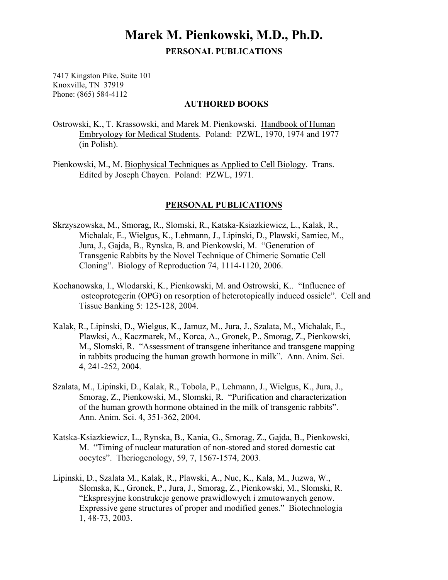## **Marek M. Pienkowski, M.D., Ph.D. PERSONAL PUBLICATIONS**

7417 Kingston Pike, Suite 101 Knoxville, TN 37919 Phone: (865) 584-4112

## **AUTHORED BOOKS**

Ostrowski, K., T. Krassowski, and Marek M. Pienkowski. Handbook of Human Embryology for Medical Students. Poland: PZWL, 1970, 1974 and 1977 (in Polish).

Pienkowski, M., M. Biophysical Techniques as Applied to Cell Biology. Trans. Edited by Joseph Chayen. Poland: PZWL, 1971.

## **PERSONAL PUBLICATIONS**

- Skrzyszowska, M., Smorag, R., Slomski, R., Katska-Ksiazkiewicz, L., Kalak, R., Michalak, E., Wielgus, K., Lehmann, J., Lipinski, D., Plawski, Samiec, M., Jura, J., Gajda, B., Rynska, B. and Pienkowski, M. "Generation of Transgenic Rabbits by the Novel Technique of Chimeric Somatic Cell Cloning". Biology of Reproduction 74, 1114-1120, 2006.
- Kochanowska, I., Wlodarski, K., Pienkowski, M. and Ostrowski, K.. "Influence of osteoprotegerin (OPG) on resorption of heterotopically induced ossicle". Cell and Tissue Banking 5: 125-128, 2004.
- Kalak, R., Lipinski, D., Wielgus, K., Jamuz, M., Jura, J., Szalata, M., Michalak, E., Plawksi, A., Kaczmarek, M., Korca, A., Gronek, P., Smorag, Z., Pienkowski, M., Slomski, R. "Assessment of transgene inheritance and transgene mapping in rabbits producing the human growth hormone in milk". Ann. Anim. Sci. 4, 241-252, 2004.
- Szalata, M., Lipinski, D., Kalak, R., Tobola, P., Lehmann, J., Wielgus, K., Jura, J., Smorag, Z., Pienkowski, M., Slomski, R. "Purification and characterization of the human growth hormone obtained in the milk of transgenic rabbits". Ann. Anim. Sci. 4, 351-362, 2004.
- Katska-Ksiazkiewicz, L., Rynska, B., Kania, G., Smorag, Z., Gajda, B., Pienkowski, M. "Timing of nuclear maturation of non-stored and stored domestic cat oocytes". Theriogenology, 59, 7, 1567-1574, 2003.
- Lipinski, D., Szalata M., Kalak, R., Plawski, A., Nuc, K., Kala, M., Juzwa, W., Slomska, K., Gronek, P., Jura, J., Smorag, Z., Pienkowski, M., Slomski, R. "Ekspresyjne konstrukcje genowe prawidlowych i zmutowanych genow. Expressive gene structures of proper and modified genes." Biotechnologia 1, 48-73, 2003.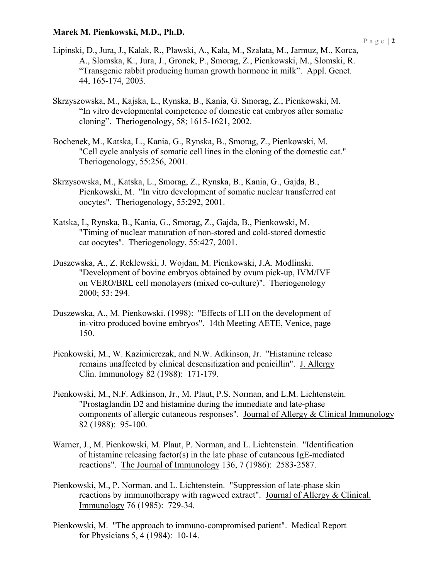## **Marek M. Pienkowski, M.D., Ph.D.**

- Lipinski, D., Jura, J., Kalak, R., Plawski, A., Kala, M., Szalata, M., Jarmuz, M., Korca, A., Slomska, K., Jura, J., Gronek, P., Smorag, Z., Pienkowski, M., Slomski, R. "Transgenic rabbit producing human growth hormone in milk". Appl. Genet. 44, 165-174, 2003.
- Skrzyszowska, M., Kajska, L., Rynska, B., Kania, G. Smorag, Z., Pienkowski, M. "In vitro developmental competence of domestic cat embryos after somatic cloning". Theriogenology, 58; 1615-1621, 2002.
- Bochenek, M., Katska, L., Kania, G., Rynska, B., Smorag, Z., Pienkowski, M. "Cell cycle analysis of somatic cell lines in the cloning of the domestic cat." Theriogenology, 55:256, 2001.
- Skrzysowska, M., Katska, L., Smorag, Z., Rynska, B., Kania, G., Gajda, B., Pienkowski, M. "In vitro development of somatic nuclear transferred cat oocytes". Theriogenology, 55:292, 2001.
- Katska, L, Rynska, B., Kania, G., Smorag, Z., Gajda, B., Pienkowski, M. "Timing of nuclear maturation of non-stored and cold-stored domestic cat oocytes". Theriogenology, 55:427, 2001.
- Duszewska, A., Z. Reklewski, J. Wojdan, M. Pienkowski, J.A. Modlinski. "Development of bovine embryos obtained by ovum pick-up, IVM/IVF on VERO/BRL cell monolayers (mixed co-culture)". Theriogenology 2000; 53: 294.
- Duszewska, A., M. Pienkowski. (1998): "Effects of LH on the development of in-vitro produced bovine embryos". 14th Meeting AETE, Venice, page 150.
- Pienkowski, M., W. Kazimierczak, and N.W. Adkinson, Jr. "Histamine release remains unaffected by clinical desensitization and penicillin". J. Allergy Clin. Immunology 82 (1988): 171-179.
- Pienkowski, M., N.F. Adkinson, Jr., M. Plaut, P.S. Norman, and L.M. Lichtenstein. "Prostaglandin D2 and histamine during the immediate and late-phase components of allergic cutaneous responses". Journal of Allergy & Clinical Immunology 82 (1988): 95-100.
- Warner, J., M. Pienkowski, M. Plaut, P. Norman, and L. Lichtenstein. "Identification of histamine releasing factor(s) in the late phase of cutaneous IgE-mediated reactions". The Journal of Immunology 136, 7 (1986): 2583-2587.
- Pienkowski, M., P. Norman, and L. Lichtenstein. "Suppression of late-phase skin reactions by immunotherapy with ragweed extract". Journal of Allergy & Clinical. Immunology 76 (1985): 729-34.
- Pienkowski, M. "The approach to immuno-compromised patient". Medical Report for Physicians 5, 4 (1984): 10-14.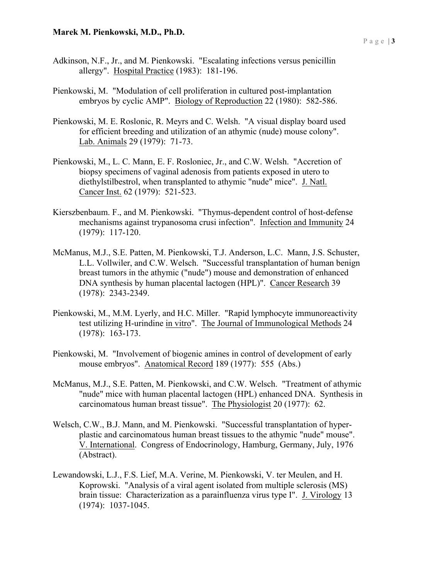- Adkinson, N.F., Jr., and M. Pienkowski. "Escalating infections versus penicillin allergy". Hospital Practice (1983): 181-196.
- Pienkowski, M. "Modulation of cell proliferation in cultured post-implantation embryos by cyclic AMP". Biology of Reproduction 22 (1980): 582-586.
- Pienkowski, M. E. Roslonic, R. Meyrs and C. Welsh. "A visual display board used for efficient breeding and utilization of an athymic (nude) mouse colony". Lab. Animals 29 (1979): 71-73.
- Pienkowski, M., L. C. Mann, E. F. Rosloniec, Jr., and C.W. Welsh. "Accretion of biopsy specimens of vaginal adenosis from patients exposed in utero to diethylstilbestrol, when transplanted to athymic "nude" mice". J. Natl. Cancer Inst. 62 (1979): 521-523.
- Kierszbenbaum. F., and M. Pienkowski. "Thymus-dependent control of host-defense mechanisms against trypanosoma crusi infection". Infection and Immunity 24 (1979): 117-120.
- McManus, M.J., S.E. Patten, M. Pienkowski, T.J. Anderson, L.C. Mann, J.S. Schuster, L.L. Vollwiler, and C.W. Welsch. "Successful transplantation of human benign breast tumors in the athymic ("nude") mouse and demonstration of enhanced DNA synthesis by human placental lactogen (HPL)". Cancer Research 39 (1978): 2343-2349.
- Pienkowski, M., M.M. Lyerly, and H.C. Miller. "Rapid lymphocyte immunoreactivity test utilizing H-urindine in vitro". The Journal of Immunological Methods 24 (1978): 163-173.
- Pienkowski, M. "Involvement of biogenic amines in control of development of early mouse embryos". Anatomical Record 189 (1977): 555 (Abs.)
- McManus, M.J., S.E. Patten, M. Pienkowski, and C.W. Welsch. "Treatment of athymic "nude" mice with human placental lactogen (HPL) enhanced DNA. Synthesis in carcinomatous human breast tissue". The Physiologist 20 (1977): 62.
- Welsch, C.W., B.J. Mann, and M. Pienkowski. "Successful transplantation of hyperplastic and carcinomatous human breast tissues to the athymic "nude" mouse". V. International. Congress of Endocrinology, Hamburg, Germany, July, 1976 (Abstract).
- Lewandowski, L.J., F.S. Lief, M.A. Verine, M. Pienkowski, V. ter Meulen, and H. Koprowski. "Analysis of a viral agent isolated from multiple sclerosis (MS) brain tissue: Characterization as a parainfluenza virus type I". J. Virology 13 (1974): 1037-1045.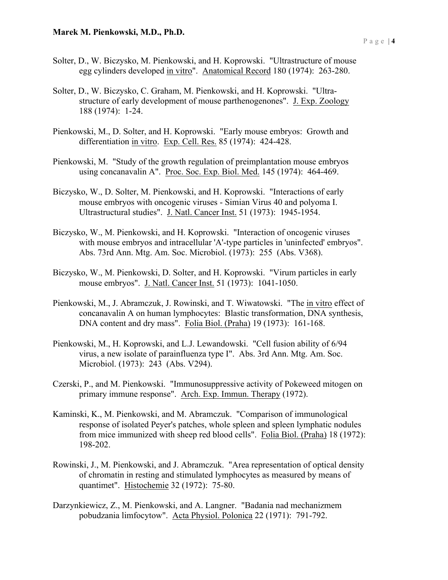- Solter, D., W. Biczysko, M. Pienkowski, and H. Koprowski. "Ultrastructure of mouse egg cylinders developed in vitro". Anatomical Record 180 (1974): 263-280.
- Solter, D., W. Biczysko, C. Graham, M. Pienkowski, and H. Koprowski. "Ultrastructure of early development of mouse parthenogenones". J. Exp. Zoology 188 (1974): 1-24.
- Pienkowski, M., D. Solter, and H. Koprowski. "Early mouse embryos: Growth and differentiation in vitro. Exp. Cell. Res. 85 (1974): 424-428.
- Pienkowski, M. "Study of the growth regulation of preimplantation mouse embryos using concanavalin A". Proc. Soc. Exp. Biol. Med. 145 (1974): 464-469.
- Biczysko, W., D. Solter, M. Pienkowski, and H. Koprowski. "Interactions of early mouse embryos with oncogenic viruses - Simian Virus 40 and polyoma I. Ultrastructural studies". J. Natl. Cancer Inst. 51 (1973): 1945-1954.
- Biczysko, W., M. Pienkowski, and H. Koprowski. "Interaction of oncogenic viruses with mouse embryos and intracellular 'A'-type particles in 'uninfected' embryos". Abs. 73rd Ann. Mtg. Am. Soc. Microbiol. (1973): 255 (Abs. V368).
- Biczysko, W., M. Pienkowski, D. Solter, and H. Koprowski. "Virum particles in early mouse embryos". J. Natl. Cancer Inst. 51 (1973): 1041-1050.
- Pienkowski, M., J. Abramczuk, J. Rowinski, and T. Wiwatowski. "The in vitro effect of concanavalin A on human lymphocytes: Blastic transformation, DNA synthesis, DNA content and dry mass". Folia Biol. (Praha) 19 (1973): 161-168.
- Pienkowski, M., H. Koprowski, and L.J. Lewandowski. "Cell fusion ability of 6/94 virus, a new isolate of parainfluenza type I". Abs. 3rd Ann. Mtg. Am. Soc. Microbiol. (1973): 243 (Abs. V294).
- Czerski, P., and M. Pienkowski. "Immunosuppressive activity of Pokeweed mitogen on primary immune response". Arch. Exp. Immun. Therapy (1972).
- Kaminski, K., M. Pienkowski, and M. Abramczuk. "Comparison of immunological response of isolated Peyer's patches, whole spleen and spleen lymphatic nodules from mice immunized with sheep red blood cells". Folia Biol. (Praha) 18 (1972): 198-202.
- Rowinski, J., M. Pienkowski, and J. Abramczuk. "Area representation of optical density of chromatin in resting and stimulated lymphocytes as measured by means of quantimet". Histochemie 32 (1972): 75-80.
- Darzynkiewicz, Z., M. Pienkowski, and A. Langner. "Badania nad mechanizmem pobudzania limfocytow". Acta Physiol. Polonica 22 (1971): 791-792.